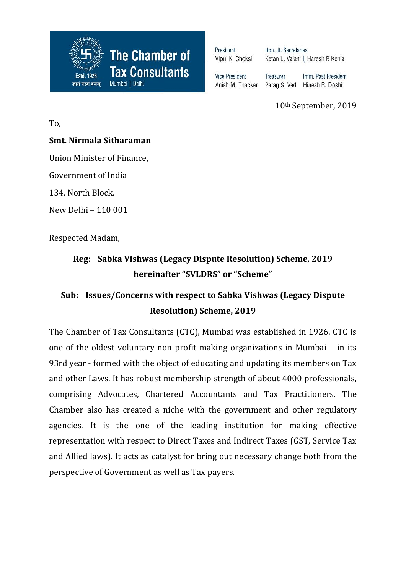

President Vipul K. Choksi Hon, Jt. Secretaries Ketan L. Vajani | Haresh P. Kenia

**Vice President** Anish M. Thacker

Treasurer Imm. Past President Parag S. Ved Hinesh R. Doshi

10th September, 2019

To,

#### **Smt. Nirmala Sitharaman**

Union Minister of Finance,

Government of India

134, North Block,

New Delhi – 110 001

Respected Madam,

# **Reg: Sabka Vishwas (Legacy Dispute Resolution) Scheme, 2019 hereinafter "SVLDRS" or "Scheme"**

# **Sub: Issues/Concerns with respect to Sabka Vishwas (Legacy Dispute Resolution) Scheme, 2019**

The Chamber of Tax Consultants (CTC), Mumbai was established in 1926. CTC is one of the oldest voluntary non-profit making organizations in Mumbai – in its 93rd year - formed with the object of educating and updating its members on Tax and other Laws. It has robust membership strength of about 4000 professionals, comprising Advocates, Chartered Accountants and Tax Practitioners. The Chamber also has created a niche with the government and other regulatory agencies. It is the one of the leading institution for making effective representation with respect to Direct Taxes and Indirect Taxes (GST, Service Tax and Allied laws). It acts as catalyst for bring out necessary change both from the perspective of Government as well as Tax payers.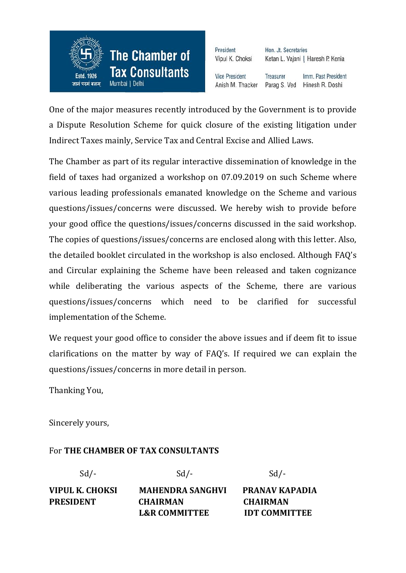

President Vipul K. Choksi

Hon, Jt. Secretaries Ketan L. Vajani | Haresh P. Kenia

**Vice President** Anish M. Thacker

Treasurer Imm. Past President Parag S. Ved Hinesh R. Doshi

One of the major measures recently introduced by the Government is to provide a Dispute Resolution Scheme for quick closure of the existing litigation under Indirect Taxes mainly, Service Tax and Central Excise and Allied Laws.

The Chamber as part of its regular interactive dissemination of knowledge in the field of taxes had organized a workshop on 07.09.2019 on such Scheme where various leading professionals emanated knowledge on the Scheme and various questions/issues/concerns were discussed. We hereby wish to provide before your good office the questions/issues/concerns discussed in the said workshop. The copies of questions/issues/concerns are enclosed along with this letter. Also, the detailed booklet circulated in the workshop is also enclosed. Although FAQ's and Circular explaining the Scheme have been released and taken cognizance while deliberating the various aspects of the Scheme, there are various questions/issues/concerns which need to be clarified for successful implementation of the Scheme.

We request your good office to consider the above issues and if deem fit to issue clarifications on the matter by way of FAQ's. If required we can explain the questions/issues/concerns in more detail in person.

Thanking You,

Sincerely yours,

#### For **THE CHAMBER OF TAX CONSULTANTS**

| $Sd$ /-          | $Sd$ /-                  | $Sd$ /-               |
|------------------|--------------------------|-----------------------|
| VIPUL K. CHOKSI  | <b>MAHENDRA SANGHVI</b>  | <b>PRANAV KAPADIA</b> |
| <b>PRESIDENT</b> | <b>CHAIRMAN</b>          | <b>CHAIRMAN</b>       |
|                  | <b>L&amp;R COMMITTEE</b> | <b>IDT COMMITTEE</b>  |